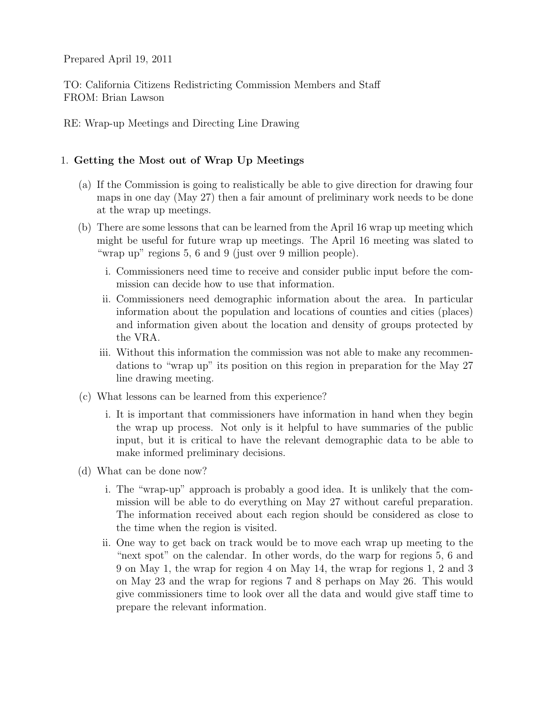Prepared April 19, 2011

TO: California Citizens Redistricting Commission Members and Staff FROM: Brian Lawson

RE: Wrap-up Meetings and Directing Line Drawing

## 1. Getting the Most out of Wrap Up Meetings

- (a) If the Commission is going to realistically be able to give direction for drawing four maps in one day (May 27) then a fair amount of preliminary work needs to be done at the wrap up meetings.
- (b) There are some lessons that can be learned from the April 16 wrap up meeting which might be useful for future wrap up meetings. The April 16 meeting was slated to "wrap up" regions 5, 6 and 9 (just over 9 million people).
	- i. Commissioners need time to receive and consider public input before the commission can decide how to use that information.
	- ii. Commissioners need demographic information about the area. In particular information about the population and locations of counties and cities (places) and information given about the location and density of groups protected by the VRA.
	- iii. Without this information the commission was not able to make any recommendations to "wrap up" its position on this region in preparation for the May 27 line drawing meeting.
- (c) What lessons can be learned from this experience?
	- i. It is important that commissioners have information in hand when they begin the wrap up process. Not only is it helpful to have summaries of the public input, but it is critical to have the relevant demographic data to be able to make informed preliminary decisions.
- (d) What can be done now?
	- i. The "wrap-up" approach is probably a good idea. It is unlikely that the commission will be able to do everything on May 27 without careful preparation. The information received about each region should be considered as close to the time when the region is visited.
	- ii. One way to get back on track would be to move each wrap up meeting to the "next spot" on the calendar. In other words, do the warp for regions 5, 6 and 9 on May 1, the wrap for region 4 on May 14, the wrap for regions 1, 2 and 3 on May 23 and the wrap for regions 7 and 8 perhaps on May 26. This would give commissioners time to look over all the data and would give staff time to prepare the relevant information.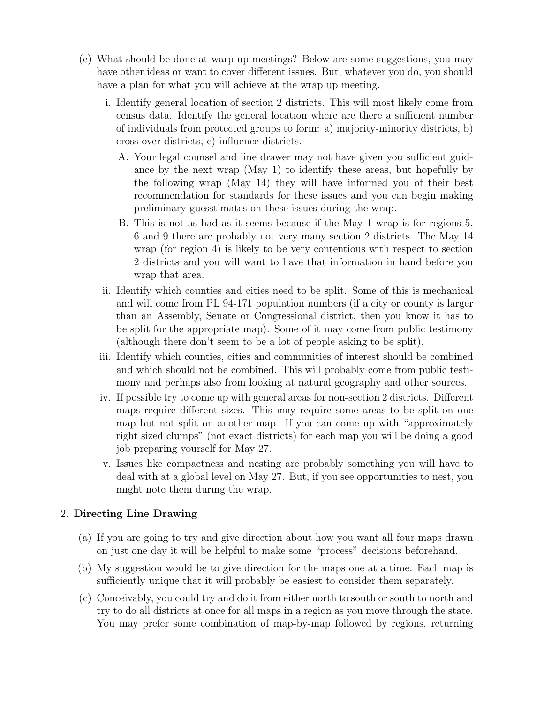- (e) What should be done at warp-up meetings? Below are some suggestions, you may have other ideas or want to cover different issues. But, whatever you do, you should have a plan for what you will achieve at the wrap up meeting.
	- i. Identify general location of section 2 districts. This will most likely come from census data. Identify the general location where are there a sufficient number of individuals from protected groups to form: a) majority-minority districts, b) cross-over districts, c) influence districts.
		- A. Your legal counsel and line drawer may not have given you sufficient guidance by the next wrap (May 1) to identify these areas, but hopefully by the following wrap (May 14) they will have informed you of their best recommendation for standards for these issues and you can begin making preliminary guesstimates on these issues during the wrap.
		- B. This is not as bad as it seems because if the May 1 wrap is for regions 5, 6 and 9 there are probably not very many section 2 districts. The May 14 wrap (for region 4) is likely to be very contentious with respect to section 2 districts and you will want to have that information in hand before you wrap that area.
	- ii. Identify which counties and cities need to be split. Some of this is mechanical and will come from PL 94-171 population numbers (if a city or county is larger than an Assembly, Senate or Congressional district, then you know it has to be split for the appropriate map). Some of it may come from public testimony (although there don't seem to be a lot of people asking to be split).
	- iii. Identify which counties, cities and communities of interest should be combined and which should not be combined. This will probably come from public testimony and perhaps also from looking at natural geography and other sources.
	- iv. If possible try to come up with general areas for non-section 2 districts. Different maps require different sizes. This may require some areas to be split on one map but not split on another map. If you can come up with "approximately right sized clumps" (not exact districts) for each map you will be doing a good job preparing yourself for May 27.
	- v. Issues like compactness and nesting are probably something you will have to deal with at a global level on May 27. But, if you see opportunities to nest, you might note them during the wrap.

## 2. Directing Line Drawing

- (a) If you are going to try and give direction about how you want all four maps drawn on just one day it will be helpful to make some "process" decisions beforehand.
- (b) My suggestion would be to give direction for the maps one at a time. Each map is sufficiently unique that it will probably be easiest to consider them separately.
- (c) Conceivably, you could try and do it from either north to south or south to north and try to do all districts at once for all maps in a region as you move through the state. You may prefer some combination of map-by-map followed by regions, returning